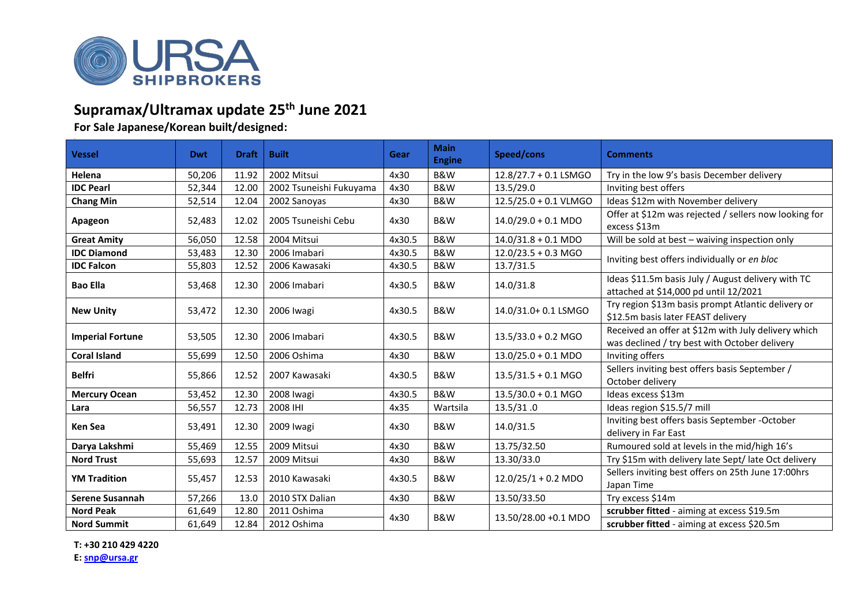

## **Supramax/Ultramax update 25th June 2021**

**For Sale Japanese/Korean built/designed:**

| <b>Vessel</b>           | <b>Dwt</b> | <b>Draft</b> | <b>Built</b>            | Gear   | <b>Main</b><br><b>Engine</b> | Speed/cons                    | <b>Comments</b>                                                                                      |  |
|-------------------------|------------|--------------|-------------------------|--------|------------------------------|-------------------------------|------------------------------------------------------------------------------------------------------|--|
| Helena                  | 50,206     | 11.92        | 2002 Mitsui             | 4x30   | B&W                          | 12.8/27.7 + 0.1 LSMGO         | Try in the low 9's basis December delivery                                                           |  |
| <b>IDC Pearl</b>        | 52,344     | 12.00        | 2002 Tsuneishi Fukuyama | 4x30   | <b>B&amp;W</b>               | 13.5/29.0                     | Inviting best offers                                                                                 |  |
| <b>Chang Min</b>        | 52,514     | 12.04        | 2002 Sanoyas            | 4x30   | B&W                          | 12.5/25.0 + 0.1 VLMGO         | Ideas \$12m with November delivery                                                                   |  |
| Apageon                 | 52,483     | 12.02        | 2005 Tsuneishi Cebu     | 4x30   | B&W                          | $14.0/29.0 + 0.1$ MDO         | Offer at \$12m was rejected / sellers now looking for<br>excess \$13m                                |  |
| <b>Great Amity</b>      | 56,050     | 12.58        | 2004 Mitsui             | 4x30.5 | <b>B&amp;W</b>               | $14.0/31.8 + 0.1 \text{ MDO}$ | Will be sold at best - waiving inspection only                                                       |  |
| <b>IDC Diamond</b>      | 53,483     | 12.30        | 2006 Imabari            | 4x30.5 | <b>B&amp;W</b>               | $12.0/23.5 + 0.3$ MGO         | Inviting best offers individually or en bloc                                                         |  |
| <b>IDC Falcon</b>       | 55,803     | 12.52        | 2006 Kawasaki           | 4x30.5 | B&W                          | 13.7/31.5                     |                                                                                                      |  |
| <b>Bao Ella</b>         | 53,468     | 12.30        | 2006 Imabari            | 4x30.5 | B&W                          | 14.0/31.8                     | Ideas \$11.5m basis July / August delivery with TC<br>attached at \$14,000 pd until 12/2021          |  |
| <b>New Unity</b>        | 53,472     | 12.30        | 2006 Iwagi              | 4x30.5 | B&W                          | 14.0/31.0+ 0.1 LSMGO          | Try region \$13m basis prompt Atlantic delivery or<br>\$12.5m basis later FEAST delivery             |  |
| <b>Imperial Fortune</b> | 53,505     | 12.30        | 2006 Imabari            | 4x30.5 | B&W                          | $13.5/33.0 + 0.2$ MGO         | Received an offer at \$12m with July delivery which<br>was declined / try best with October delivery |  |
| <b>Coral Island</b>     | 55,699     | 12.50        | 2006 Oshima             | 4x30   | B&W                          | $13.0/25.0 + 0.1$ MDO         | Inviting offers                                                                                      |  |
| <b>Belfri</b>           | 55,866     | 12.52        | 2007 Kawasaki           | 4x30.5 | B&W                          | $13.5/31.5 + 0.1$ MGO         | Sellers inviting best offers basis September /<br>October delivery                                   |  |
| <b>Mercury Ocean</b>    | 53,452     | 12.30        | 2008 Iwagi              | 4x30.5 | <b>B&amp;W</b>               | $13.5/30.0 + 0.1$ MGO         | Ideas excess \$13m                                                                                   |  |
| Lara                    | 56,557     | 12.73        | 2008 IHI                | 4x35   | Wartsila                     | 13.5/31.0                     | Ideas region \$15.5/7 mill                                                                           |  |
| Ken Sea                 | 53,491     | 12.30        | 2009 Iwagi              | 4x30   | B&W                          | 14.0/31.5                     | Inviting best offers basis September -October<br>delivery in Far East                                |  |
| Darya Lakshmi           | 55,469     | 12.55        | 2009 Mitsui             | 4x30   | <b>B&amp;W</b>               | 13.75/32.50                   | Rumoured sold at levels in the mid/high 16's                                                         |  |
| <b>Nord Trust</b>       | 55,693     | 12.57        | 2009 Mitsui             | 4x30   | <b>B&amp;W</b>               | 13.30/33.0                    | Try \$15m with delivery late Sept/ late Oct delivery                                                 |  |
| <b>YM Tradition</b>     | 55,457     | 12.53        | 2010 Kawasaki           | 4x30.5 | B&W                          | $12.0/25/1 + 0.2$ MDO         | Sellers inviting best offers on 25th June 17:00hrs<br>Japan Time                                     |  |
| <b>Serene Susannah</b>  | 57,266     | 13.0         | 2010 STX Dalian         | 4x30   | B&W                          | 13.50/33.50                   | Try excess \$14m                                                                                     |  |
| <b>Nord Peak</b>        | 61,649     | 12.80        | 2011 Oshima             | 4x30   | B&W                          | 13.50/28.00 +0.1 MDO          | scrubber fitted - aiming at excess \$19.5m                                                           |  |
| <b>Nord Summit</b>      | 61,649     | 12.84        | 2012 Oshima             |        |                              |                               | scrubber fitted - aiming at excess \$20.5m                                                           |  |

**T: +30 210 429 4220**

**E: [snp@ursa.gr](mailto:snp@ursa.gr)**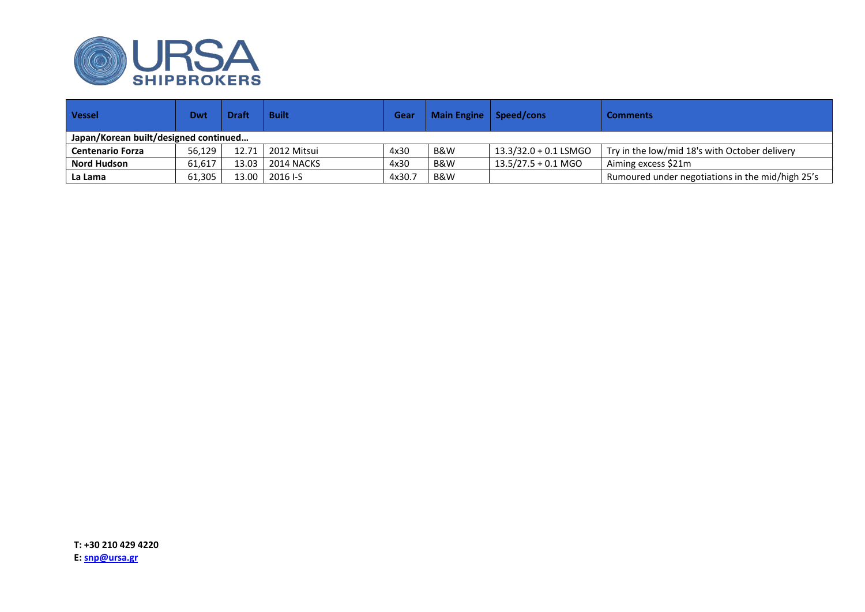

| <b>Vessel</b>                         | Dwt    | <b>Draft</b> | <b>Built</b>      | Gear  | Main Engine   Speed/cons |                       | <b>Comments</b>                                  |  |  |  |
|---------------------------------------|--------|--------------|-------------------|-------|--------------------------|-----------------------|--------------------------------------------------|--|--|--|
| Japan/Korean built/designed continued |        |              |                   |       |                          |                       |                                                  |  |  |  |
| <b>Centenario Forza</b>               | 56,129 |              | 12.71 2012 Mitsui | 4x30  | B&W                      | 13.3/32.0 + 0.1 LSMGO | Try in the low/mid 18's with October delivery    |  |  |  |
| <b>Nord Hudson</b>                    | 61,617 | 13.03        | 2014 NACKS        | 4x30  | B&W                      | $13.5/27.5 + 0.1$ MGO | Aiming excess \$21m                              |  |  |  |
| La Lama                               | 61,305 | $13.00$      | 2016 I-S          | 4x30. | B&W                      |                       | Rumoured under negotiations in the mid/high 25's |  |  |  |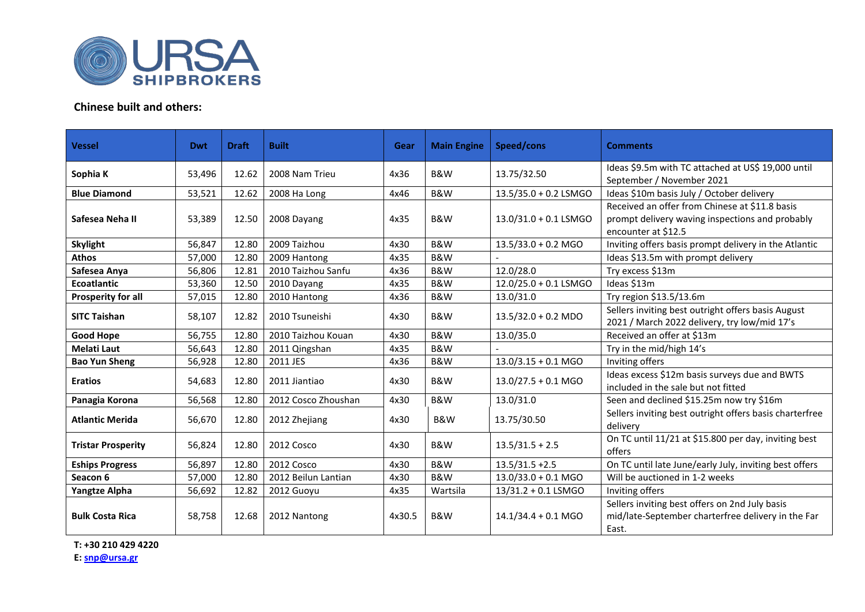

## **Chinese built and others:**

| <b>Vessel</b>             | Dwt    | <b>Draft</b> | <b>Built</b>        | Gear   | <b>Main Engine</b> | Speed/cons                                                                                     | <b>Comments</b>                                                                                                          |  |
|---------------------------|--------|--------------|---------------------|--------|--------------------|------------------------------------------------------------------------------------------------|--------------------------------------------------------------------------------------------------------------------------|--|
| Sophia K                  | 53,496 | 12.62        | 2008 Nam Trieu      | 4x36   | B&W                | Ideas \$9.5m with TC attached at US\$ 19,000 until<br>13.75/32.50<br>September / November 2021 |                                                                                                                          |  |
| <b>Blue Diamond</b>       | 53,521 | 12.62        | 2008 Ha Long        | 4x46   | B&W                | 13.5/35.0 + 0.2 LSMGO                                                                          | Ideas \$10m basis July / October delivery                                                                                |  |
| Safesea Neha II           | 53,389 | 12.50        | 2008 Dayang         | 4x35   | B&W                | 13.0/31.0 + 0.1 LSMGO                                                                          | Received an offer from Chinese at \$11.8 basis<br>prompt delivery waving inspections and probably<br>encounter at \$12.5 |  |
| <b>Skylight</b>           | 56,847 | 12.80        | 2009 Taizhou        | 4x30   | B&W                | $13.5/33.0 + 0.2$ MGO                                                                          | Inviting offers basis prompt delivery in the Atlantic                                                                    |  |
| <b>Athos</b>              | 57,000 | 12.80        | 2009 Hantong        | 4x35   | B&W                |                                                                                                | Ideas \$13.5m with prompt delivery                                                                                       |  |
| Safesea Anya              | 56,806 | 12.81        | 2010 Taizhou Sanfu  | 4x36   | B&W                | 12.0/28.0                                                                                      | Try excess \$13m                                                                                                         |  |
| <b>Ecoatlantic</b>        | 53,360 | 12.50        | 2010 Dayang         | 4x35   | B&W                | 12.0/25.0 + 0.1 LSMGO                                                                          | Ideas \$13m                                                                                                              |  |
| <b>Prosperity for all</b> | 57,015 | 12.80        | 2010 Hantong        | 4x36   | B&W                | 13.0/31.0                                                                                      | Try region \$13.5/13.6m                                                                                                  |  |
| <b>SITC Taishan</b>       | 58,107 | 12.82        | 2010 Tsuneishi      | 4x30   | B&W                | $13.5/32.0 + 0.2$ MDO                                                                          | Sellers inviting best outright offers basis August<br>2021 / March 2022 delivery, try low/mid 17's                       |  |
| <b>Good Hope</b>          | 56,755 | 12.80        | 2010 Taizhou Kouan  | 4x30   | <b>B&amp;W</b>     | 13.0/35.0                                                                                      | Received an offer at \$13m                                                                                               |  |
| <b>Melati Laut</b>        | 56,643 | 12.80        | 2011 Qingshan       | 4x35   | B&W                |                                                                                                | Try in the mid/high 14's                                                                                                 |  |
| <b>Bao Yun Sheng</b>      | 56,928 | 12.80        | 2011 JES            | 4x36   | B&W                | $13.0/3.15 + 0.1$ MGO                                                                          | Inviting offers                                                                                                          |  |
| <b>Eratios</b>            | 54,683 | 12.80        | 2011 Jiantiao       | 4x30   | B&W                | $13.0/27.5 + 0.1$ MGO                                                                          | Ideas excess \$12m basis surveys due and BWTS<br>included in the sale but not fitted                                     |  |
| Panagia Korona            | 56,568 | 12.80        | 2012 Cosco Zhoushan | 4x30   | B&W                | 13.0/31.0                                                                                      | Seen and declined \$15.25m now try \$16m                                                                                 |  |
| <b>Atlantic Merida</b>    | 56,670 | 12.80        | 2012 Zhejiang       | 4x30   | B&W                | 13.75/30.50                                                                                    | Sellers inviting best outright offers basis charterfree<br>delivery                                                      |  |
| <b>Tristar Prosperity</b> | 56,824 | 12.80        | 2012 Cosco          | 4x30   | B&W                | $13.5/31.5 + 2.5$                                                                              | On TC until 11/21 at \$15.800 per day, inviting best<br>offers                                                           |  |
| <b>Eships Progress</b>    | 56,897 | 12.80        | 2012 Cosco          | 4x30   | B&W                | $13.5/31.5 + 2.5$                                                                              | On TC until late June/early July, inviting best offers                                                                   |  |
| Seacon 6                  | 57,000 | 12.80        | 2012 Beilun Lantian | 4x30   | B&W                | $13.0/33.0 + 0.1$ MGO                                                                          | Will be auctioned in 1-2 weeks                                                                                           |  |
| <b>Yangtze Alpha</b>      | 56,692 | 12.82        | 2012 Guoyu          | 4x35   | Wartsila           | 13/31.2 + 0.1 LSMGO                                                                            | Inviting offers                                                                                                          |  |
| <b>Bulk Costa Rica</b>    | 58,758 | 12.68        | 2012 Nantong        | 4x30.5 | B&W                | $14.1/34.4 + 0.1$ MGO                                                                          | Sellers inviting best offers on 2nd July basis<br>mid/late-September charterfree delivery in the Far<br>East.            |  |

**T: +30 210 429 4220 E: [snp@ursa.gr](mailto:snp@ursa.gr)**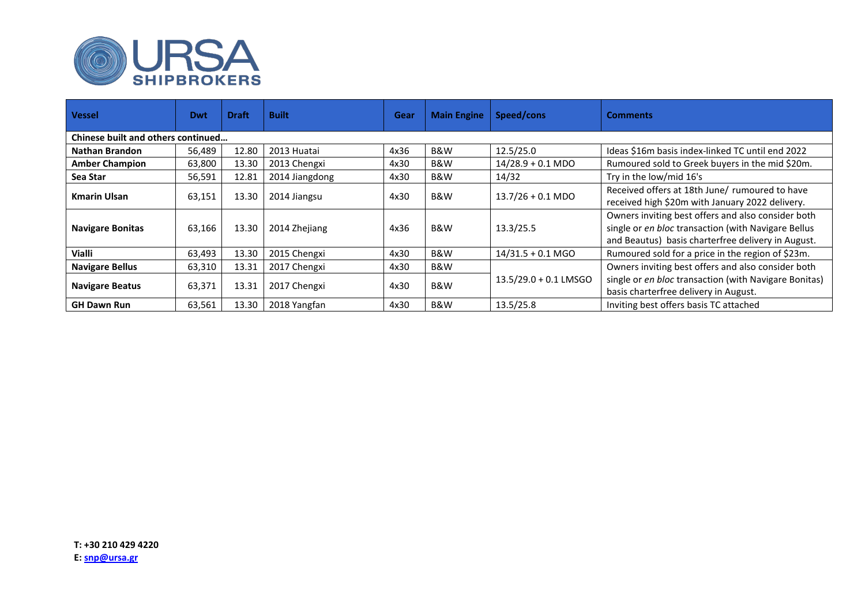

| <b>Vessel</b>                             | Dwt    | <b>Draft</b> | <b>Built</b>   | Gear | <b>Main Engine</b> | Speed/cons              | <b>Comments</b>                                                                                                                                                 |  |  |
|-------------------------------------------|--------|--------------|----------------|------|--------------------|-------------------------|-----------------------------------------------------------------------------------------------------------------------------------------------------------------|--|--|
| <b>Chinese built and others continued</b> |        |              |                |      |                    |                         |                                                                                                                                                                 |  |  |
| Nathan Brandon                            | 56,489 | 12.80        | 2013 Huatai    | 4x36 | B&W                | 12.5/25.0               | Ideas \$16m basis index-linked TC until end 2022                                                                                                                |  |  |
| <b>Amber Champion</b>                     | 63,800 | 13.30        | 2013 Chengxi   | 4x30 | B&W                | $14/28.9 + 0.1$ MDO     | Rumoured sold to Greek buyers in the mid \$20m.                                                                                                                 |  |  |
| Sea Star                                  | 56,591 | 12.81        | 2014 Jiangdong | 4x30 | B&W                | 14/32                   | Try in the low/mid 16's                                                                                                                                         |  |  |
| <b>Kmarin Ulsan</b>                       | 63,151 | 13.30        | 2014 Jiangsu   | 4x30 | B&W                | $13.7/26 + 0.1$ MDO     | Received offers at 18th June/ rumoured to have<br>received high \$20m with January 2022 delivery.                                                               |  |  |
| <b>Navigare Bonitas</b>                   | 63,166 | 13.30        | 2014 Zhejiang  | 4x36 | B&W                | 13.3/25.5               | Owners inviting best offers and also consider both<br>single or en bloc transaction (with Navigare Bellus<br>and Beautus) basis charterfree delivery in August. |  |  |
| Vialli                                    | 63,493 | 13.30        | 2015 Chengxi   | 4x30 | B&W                | $14/31.5 + 0.1$ MGO     | Rumoured sold for a price in the region of \$23m.                                                                                                               |  |  |
| <b>Navigare Bellus</b>                    | 63,310 | 13.31        | 2017 Chengxi   | 4x30 | B&W                |                         | Owners inviting best offers and also consider both                                                                                                              |  |  |
| <b>Navigare Beatus</b>                    | 63,371 | 13.31        | 2017 Chengxi   | 4x30 | B&W                | $13.5/29.0 + 0.1$ LMSGO | single or en bloc transaction (with Navigare Bonitas)<br>basis charterfree delivery in August.                                                                  |  |  |
| <b>GH Dawn Run</b>                        | 63,561 | 13.30        | 2018 Yangfan   | 4x30 | B&W                | 13.5/25.8               | Inviting best offers basis TC attached                                                                                                                          |  |  |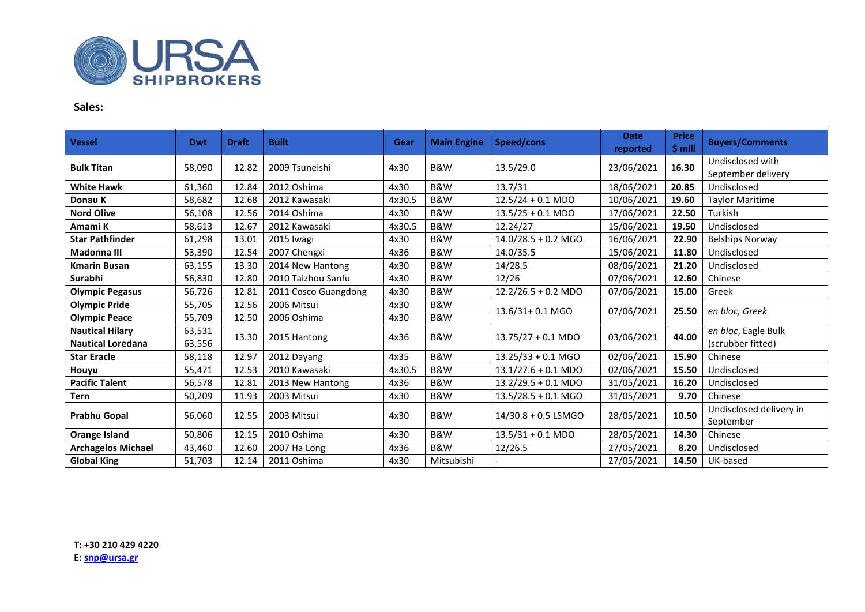

## **Sales:**

| <b>Vessel</b>             | <b>Dwt</b> | <b>Draft</b> | <b>Built</b>         | Gear   | <b>Main Engine</b> | Speed/cons                    | <b>Date</b><br>reported | <b>Price</b><br>$$$ mill | <b>Buyers/Comments</b>                 |
|---------------------------|------------|--------------|----------------------|--------|--------------------|-------------------------------|-------------------------|--------------------------|----------------------------------------|
| <b>Bulk Titan</b>         | 58,090     | 12.82        | 2009 Tsuneishi       | 4x30   | <b>B&amp;W</b>     | 13.5/29.0                     | 23/06/2021              | 16.30                    | Undisclosed with<br>September delivery |
| <b>White Hawk</b>         | 61,360     | 12.84        | 2012 Oshima          | 4x30   | <b>B&amp;W</b>     | 13.7/31                       | 18/06/2021              | 20.85                    | Undisclosed                            |
| Donau K                   | 58,682     | 12.68        | 2012 Kawasaki        | 4x30.5 | <b>B&amp;W</b>     | $12.5/24 + 0.1 \text{ MDO}$   | 10/06/2021              | 19.60                    | <b>Taylor Maritime</b>                 |
| <b>Nord Olive</b>         | 56,108     | 12.56        | 2014 Oshima          | 4x30   | <b>B&amp;W</b>     | $13.5/25 + 0.1 \text{ MDO}$   | 17/06/2021              | 22.50                    | Turkish                                |
| Amami K                   | 58,613     | 12.67        | 2012 Kawasaki        | 4x30.5 | <b>B&amp;W</b>     | 12.24/27                      | 15/06/2021              | 19.50                    | Undisclosed                            |
| <b>Star Pathfinder</b>    | 61,298     | 13.01        | 2015 Iwagi           | 4x30   | <b>B&amp;W</b>     | $14.0/28.5 + 0.2$ MGO         | 16/06/2021              | 22.90                    | <b>Belships Norway</b>                 |
| Madonna III               | 53,390     | 12.54        | 2007 Chengxi         | 4x36   | B&W                | 14.0/35.5                     | 15/06/2021              | 11.80                    | Undisclosed                            |
| Kmarin Busan              | 63,155     | 13.30        | 2014 New Hantong     | 4x30   | B&W                | 14/28.5                       | 08/06/2021              | 21.20                    | Undisclosed                            |
| Surabhi                   | 56,830     | 12.80        | 2010 Taizhou Sanfu   | 4x30   | <b>B&amp;W</b>     | 12/26                         | 07/06/2021              | 12.60                    | Chinese                                |
| <b>Olympic Pegasus</b>    | 56,726     | 12.81        | 2011 Cosco Guangdong | 4x30   | <b>B&amp;W</b>     | $12.2/26.5 + 0.2 \text{ MDO}$ | 07/06/2021              | 15.00                    | Greek                                  |
| <b>Olympic Pride</b>      | 55,705     | 12.56        | 2006 Mitsui          | 4x30   | <b>B&amp;W</b>     |                               |                         |                          |                                        |
| <b>Olympic Peace</b>      | 55,709     | 12.50        | 2006 Oshima          | 4x30   | B&W                | 13.6/31+0.1 MGO               | 07/06/2021              | 25.50                    | en bloc, Greek                         |
| <b>Nautical Hilary</b>    | 63,531     |              |                      | 4x36   | B&W                |                               | 03/06/2021              | 44.00                    | en bloc, Eagle Bulk                    |
| <b>Nautical Loredana</b>  | 63,556     | 13.30        | 2015 Hantong         |        |                    | $13.75/27 + 0.1 \text{ MDO}$  |                         |                          | (scrubber fitted)                      |
| <b>Star Eracle</b>        | 58,118     | 12.97        | 2012 Dayang          | 4x35   | <b>B&amp;W</b>     | $13.25/33 + 0.1$ MGO          | 02/06/2021              | 15.90                    | Chinese                                |
| Houyu                     | 55,471     | 12.53        | 2010 Kawasaki        | 4x30.5 | <b>B&amp;W</b>     | $13.1/27.6 + 0.1 \text{ MDO}$ | 02/06/2021              | 15.50                    | Undisclosed                            |
| <b>Pacific Talent</b>     | 56,578     | 12.81        | 2013 New Hantong     | 4x36   | <b>B&amp;W</b>     | $13.2/29.5 + 0.1 \text{ MDO}$ | 31/05/2021              | 16.20                    | Undisclosed                            |
| Tern                      | 50,209     | 11.93        | 2003 Mitsui          | 4x30   | <b>B&amp;W</b>     | $13.5/28.5 + 0.1$ MGO         | 31/05/2021              | 9.70                     | Chinese                                |
| Prabhu Gopal              | 56,060     | 12.55        | 2003 Mitsui          | 4x30   | <b>B&amp;W</b>     | 14/30.8 + 0.5 LSMGO           | 28/05/2021              | 10.50                    | Undisclosed delivery in<br>September   |
| Orange Island             | 50,806     | 12.15        | 2010 Oshima          | 4x30   | <b>B&amp;W</b>     | $13.5/31 + 0.1 \text{ MDO}$   | 28/05/2021              | 14.30                    | Chinese                                |
| <b>Archagelos Michael</b> | 43,460     | 12.60        | 2007 Ha Long         | 4x36   | B&W                | 12/26.5                       | 27/05/2021              | 8.20                     | Undisclosed                            |
| <b>Global King</b>        | 51,703     | 12.14        | 2011 Oshima          | 4x30   | Mitsubishi         |                               | 27/05/2021              | 14.50                    | UK-based                               |